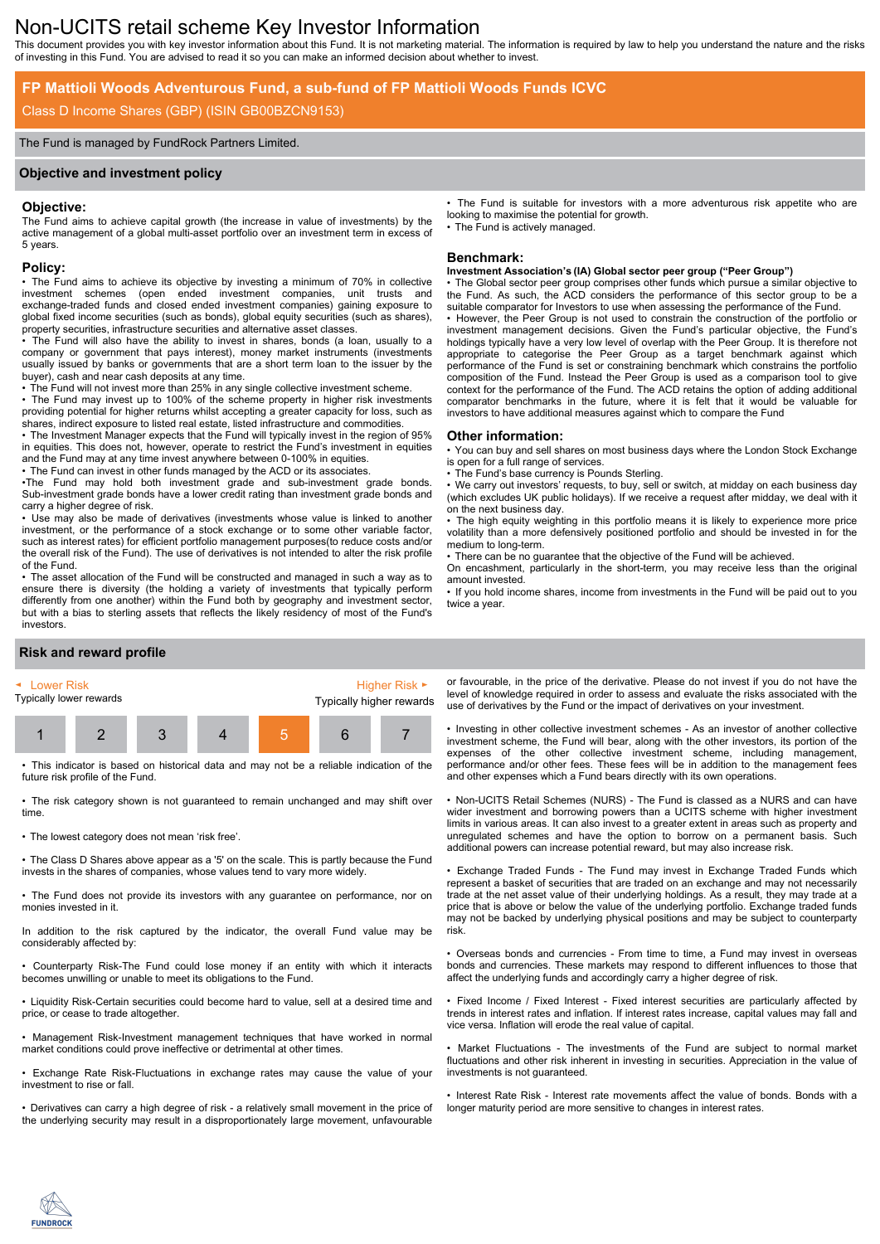# Non-UCITS retail scheme Key Investor Information

This document provides you with key investor information about this Fund. It is not marketing material. The information is required by law to help you understand the nature and the risks of investing in this Fund. You are advised to read it so you can make an informed decision about whether to invest.

## **FP Mattioli Woods Adventurous Fund, a sub-fund of FP Mattioli Woods Funds ICVC**

## Class D Income Shares (GBP) (ISIN GB00BZCN9153)

#### The Fund is managed by FundRock Partners Limited.

#### **Objective and investment policy**

#### **Objective:**

The Fund aims to achieve capital growth (the increase in value of investments) by the active management of a global multi-asset portfolio over an investment term in excess of 5 years.

#### **Policy:**

• The Fund aims to achieve its objective by investing a minimum of 70% in collective investment schemes (open ended investment companies, unit trusts and exchange-traded funds and closed ended investment companies) gaining exposure to global fixed income securities (such as bonds), global equity securities (such as shares), property securities, infrastructure securities and alternative asset classes.

• The Fund will also have the ability to invest in shares, bonds (a loan, usually to a company or government that pays interest), money market instruments (investments usually issued by banks or governments that are a short term loan to the issuer by the buyer), cash and near cash deposits at any time.

• The Fund will not invest more than 25% in any single collective investment scheme.

• The Fund may invest up to 100% of the scheme property in higher risk investments providing potential for higher returns whilst accepting a greater capacity for loss, such as shares, indirect exposure to listed real estate, listed infrastructure and commodities.

• The Investment Manager expects that the Fund will typically invest in the region of 95% in equities. This does not, however, operate to restrict the Fund's investment in equities and the Fund may at any time invest anywhere between 0-100% in equities.

• The Fund can invest in other funds managed by the ACD or its associates.

•The Fund may hold both investment grade and sub-investment grade bonds. Sub-investment grade bonds have a lower credit rating than investment grade bonds and carry a higher degree of risk.

• Use may also be made of derivatives (investments whose value is linked to another investment, or the performance of a stock exchange or to some other variable factor, such as interest rates) for efficient portfolio management purposes(to reduce costs and/or the overall risk of the Fund). The use of derivatives is not intended to alter the risk profile of the Fund.

• The asset allocation of the Fund will be constructed and managed in such a way as to ensure there is diversity (the holding a variety of investments that typically perform differently from one another) within the Fund both by geography and investment sector, but with a bias to sterling assets that reflects the likely residency of most of the Fund's investors.

### **Risk and reward profile**



• This indicator is based on historical data and may not be a reliable indication of the future risk profile of the Fund.

• The risk category shown is not guaranteed to remain unchanged and may shift over time.

• The lowest category does not mean 'risk free'.

• The Class D Shares above appear as a '5' on the scale. This is partly because the Fund invests in the shares of companies, whose values tend to vary more widely.

• The Fund does not provide its investors with any guarantee on performance, nor on monies invested in it.

In addition to the risk captured by the indicator, the overall Fund value may be considerably affected by:

• Counterparty Risk-The Fund could lose money if an entity with which it interacts becomes unwilling or unable to meet its obligations to the Fund.

• Liquidity Risk-Certain securities could become hard to value, sell at a desired time and price, or cease to trade altogether.

• Management Risk-Investment management techniques that have worked in normal market conditions could prove ineffective or detrimental at other times.

• Exchange Rate Risk-Fluctuations in exchange rates may cause the value of your investment to rise or fall.

• Derivatives can carry a high degree of risk - a relatively small movement in the price of the underlying security may result in a disproportionately large movement, unfavourable • The Fund is suitable for investors with a more adventurous risk appetite who are looking to maximise the potential for growth. The Fund is actively managed.

#### **Benchmark:**

#### **Investment Association's (IA) Global sector peer group ("Peer Group")**

The Global sector peer group comprises other funds which pursue a similar objective to the Fund. As such, the ACD considers the performance of this sector group to be a suitable comparator for Investors to use when assessing the performance of the Fund. • However, the Peer Group is not used to constrain the construction of the portfolio or investment management decisions. Given the Fund's particular objective, the Fund's holdings typically have a very low level of overlap with the Peer Group. It is therefore not appropriate to categorise the Peer Group as a target benchmark against which performance of the Fund is set or constraining benchmark which constrains the portfolio composition of the Fund. Instead the Peer Group is used as a comparison tool to give context for the performance of the Fund. The ACD retains the option of adding additional comparator benchmarks in the future, where it is felt that it would be valuable for investors to have additional measures against which to compare the Fund

#### **Other information:**

• You can buy and sell shares on most business days where the London Stock Exchange is open for a full range of services.

The Fund's base currency is Pounds Sterling.

We carry out investors' requests, to buy, sell or switch, at midday on each business day (which excludes UK public holidays). If we receive a request after midday, we deal with it on the next business day.

• The high equity weighting in this portfolio means it is likely to experience more price volatility than a more defensively positioned portfolio and should be invested in for the medium to long-term.

• There can be no guarantee that the objective of the Fund will be achieved.

On encashment, particularly in the short-term, you may receive less than the original amount invested.

• If you hold income shares, income from investments in the Fund will be paid out to you twice a year.

or favourable, in the price of the derivative. Please do not invest if you do not have the level of knowledge required in order to assess and evaluate the risks associated with the use of derivatives by the Fund or the impact of derivatives on your investment.

• Investing in other collective investment schemes - As an investor of another collective investment scheme, the Fund will bear, along with the other investors, its portion of the expenses of the other collective investment scheme, including management, performance and/or other fees. These fees will be in addition to the management fees and other expenses which a Fund bears directly with its own operations.

• Non-UCITS Retail Schemes (NURS) - The Fund is classed as a NURS and can have wider investment and borrowing powers than a UCITS scheme with higher investment limits in various areas. It can also invest to a greater extent in areas such as property and unregulated schemes and have the option to borrow on a permanent basis. Such additional powers can increase potential reward, but may also increase risk.

• Exchange Traded Funds - The Fund may invest in Exchange Traded Funds which represent a basket of securities that are traded on an exchange and may not necessarily trade at the net asset value of their underlying holdings. As a result, they may trade at a price that is above or below the value of the underlying portfolio. Exchange traded funds may not be backed by underlying physical positions and may be subject to counterparty risk.

• Overseas bonds and currencies - From time to time, a Fund may invest in overseas bonds and currencies. These markets may respond to different influences to those that affect the underlying funds and accordingly carry a higher degree of risk.

• Fixed Income / Fixed Interest - Fixed interest securities are particularly affected by trends in interest rates and inflation. If interest rates increase, capital values may fall and vice versa. Inflation will erode the real value of capital.

Market Fluctuations - The investments of the Fund are subject to normal market fluctuations and other risk inherent in investing in securities. Appreciation in the value of investments is not guaranteed.

• Interest Rate Risk - Interest rate movements affect the value of bonds. Bonds with a longer maturity period are more sensitive to changes in interest rates.